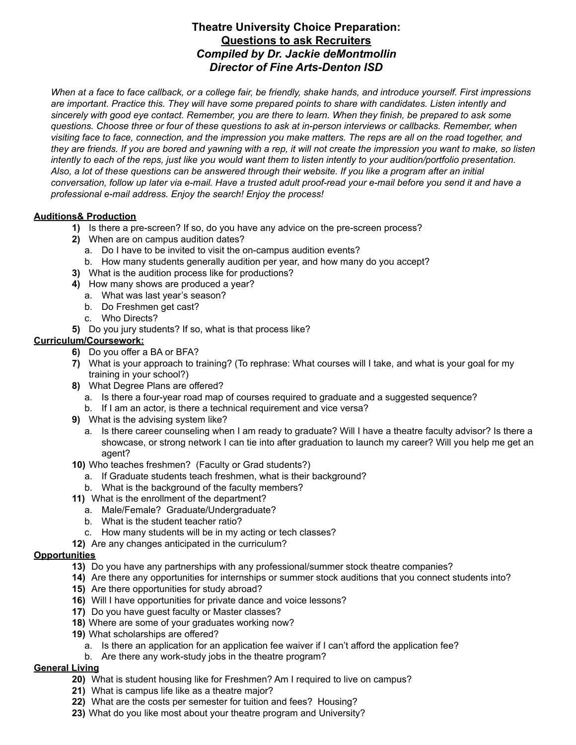# **Theatre University Choice Preparation: Questions to ask Recruiters** *Compiled by Dr. Jackie deMontmollin Director of Fine Arts-Denton ISD*

When at a face to face callback, or a college fair, be friendly, shake hands, and introduce yourself. First impressions are important. Practice this. They will have some prepared points to share with candidates. Listen intently and sincerely with good eye contact. Remember, you are there to learn. When they finish, be prepared to ask some questions. Choose three or four of these questions to ask at in-person interviews or callbacks. Remember, when visiting face to face, connection, and the impression you make matters. The reps are all on the road together, and they are friends. If you are bored and yawning with a rep, it will not create the impression you want to make, so listen intently to each of the reps, just like you would want them to listen intently to your audition/portfolio presentation. Also, a lot of these questions can be answered through their website. If you like a program after an initial conversation, follow up later via e-mail. Have a trusted adult proof-read your e-mail before you send it and have a *professional e-mail address. Enjoy the search! Enjoy the process!*

#### **Auditions& Production**

- **1)** Is there a pre-screen? If so, do you have any advice on the pre-screen process?
- **2)** When are on campus audition dates?
	- a. Do I have to be invited to visit the on-campus audition events?
	- b. How many students generally audition per year, and how many do you accept?
- **3)** What is the audition process like for productions?
- **4)** How many shows are produced a year?
	- a. What was last year's season?
	- b. Do Freshmen get cast?
	- c. Who Directs?
- **5)** Do you jury students? If so, what is that process like?

### **Curriculum/Coursework:**

- **6)** Do you offer a BA or BFA?
- **7)** What is your approach to training? (To rephrase: What courses will I take, and what is your goal for my training in your school?)
- **8)** What Degree Plans are offered?
	- a. Is there a four-year road map of courses required to graduate and a suggested sequence?
	- b. If I am an actor, is there a technical requirement and vice versa?
- **9)** What is the advising system like?
	- a. Is there career counseling when I am ready to graduate? Will I have a theatre faculty advisor? Is there a showcase, or strong network I can tie into after graduation to launch my career? Will you help me get an agent?
- **10)** Who teaches freshmen? (Faculty or Grad students?)
	- a. If Graduate students teach freshmen, what is their background?
	- b. What is the background of the faculty members?
- **11)** What is the enrollment of the department?
	- a. Male/Female? Graduate/Undergraduate?
	- b. What is the student teacher ratio?
	- c. How many students will be in my acting or tech classes?
- **12)** Are any changes anticipated in the curriculum?

### **Opportunities**

- **13)** Do you have any partnerships with any professional/summer stock theatre companies?
- **14)** Are there any opportunities for internships or summer stock auditions that you connect students into?
- **15)** Are there opportunities for study abroad?
- **16)** Will I have opportunities for private dance and voice lessons?
- **17)** Do you have guest faculty or Master classes?
- **18)** Where are some of your graduates working now?
- **19)** What scholarships are offered?
	- a. Is there an application for an application fee waiver if I can't afford the application fee?
	- b. Are there any work-study jobs in the theatre program?

## **General Living**

- **20)** What is student housing like for Freshmen? Am I required to live on campus?
- **21)** What is campus life like as a theatre major?
- **22)** What are the costs per semester for tuition and fees? Housing?
- **23)** What do you like most about your theatre program and University?